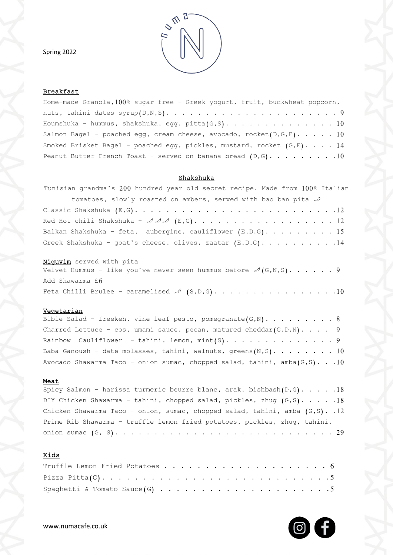Spring 2022



## **Breakfast**

| Home-made Granola, $100$ % sugar free - Greek yogurt, fruit, buckwheat popcorn, |
|---------------------------------------------------------------------------------|
|                                                                                 |
| Houmshuka - hummus, shakshuka, egg, pitta $(G, S)$ . 10                         |
| Salmon Bagel - poached egg, cream cheese, avocado, rocket(D,G,E). 10            |
| Smoked Brisket Bagel - poached egg, pickles, mustard, rocket $(G, E)$ . 14      |
| Peanut Butter French Toast - served on banana bread $(D, G)$ . 10               |

## Shakshuka

| Tunisian grandma's 200 hundred year old secret recipe. Made from 100% Italian |
|-------------------------------------------------------------------------------|
| tomatoes, slowly roasted on ambers, served with bao ban pita $\mathcal A$     |
|                                                                               |
|                                                                               |
| Balkan Shakshuka - feta, aubergine, cauliflower $(E, D, G)$ . 15              |
| Greek Shakshuka - goat's cheese, olives, zaatar $(E, D, G)$ . 14              |
| Niquvim served with pita                                                      |

|                 | Velvet Hummus - like you've never seen hummus before $\mathcal{A}(G,N,S)$ 9 |  |  |  |  |  |  |
|-----------------|-----------------------------------------------------------------------------|--|--|--|--|--|--|
| Add Shawarma £6 |                                                                             |  |  |  |  |  |  |
|                 | Feta Chilli Brulee - caramelised $\mathcal{A}(S,D,G)$ . 10                  |  |  |  |  |  |  |

### <u>Vegetarian</u>

| Bible Salad - freekeh, vine leaf pesto, pomegranate $(G, N)$ 8                 |
|--------------------------------------------------------------------------------|
| Charred Lettuce - $\cos$ , umami sauce, pecan, matured cheddar(G, D, N). 9     |
|                                                                                |
| Baba Ganoush - date molasses, tahini, walnuts, greens $(N, S)$ 10              |
| Avocado Shawarma Taco - onion sumac, chopped salad, tahini, amba $(G, S)$ . 10 |

#### <u>Meat</u>

| Spicy Salmon - harissa turmeric beurre blanc, arak, bishbash $(D, G)$ 18     |
|------------------------------------------------------------------------------|
| DIY Chicken Shawarma - tahini, chopped salad, pickles, zhug $(G, S)$ . 18    |
| Chicken Shawarma Taco - onion, sumac, chopped salad, tahini, amba (G,S). .12 |
| Prime Rib Shawarma - truffle lemon fried potatoes, pickles, zhug, tahini,    |
|                                                                              |

# Kids